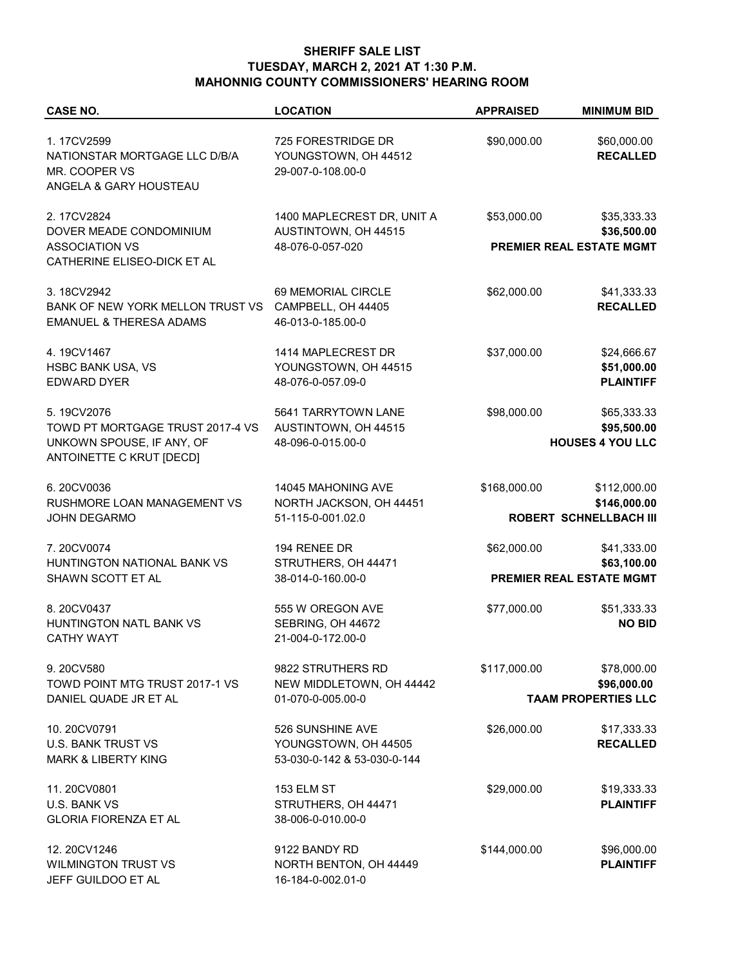## **SHERIFF SALE LIST TUESDAY, MARCH 2, 2021 AT 1:30 P.M. MAHONNIG COUNTY COMMISSIONERS' HEARING ROOM**

| <b>CASE NO.</b>                                                                                         | <b>LOCATION</b>                                                         | <b>APPRAISED</b> | <b>MINIMUM BID</b>                                            |
|---------------------------------------------------------------------------------------------------------|-------------------------------------------------------------------------|------------------|---------------------------------------------------------------|
| 1.17CV2599<br>NATIONSTAR MORTGAGE LLC D/B/A<br>MR. COOPER VS<br>ANGELA & GARY HOUSTEAU                  | 725 FORESTRIDGE DR<br>YOUNGSTOWN, OH 44512<br>29-007-0-108.00-0         | \$90,000.00      | \$60,000.00<br><b>RECALLED</b>                                |
| 2.17CV2824<br>DOVER MEADE CONDOMINIUM<br><b>ASSOCIATION VS</b>                                          | 1400 MAPLECREST DR, UNIT A<br>AUSTINTOWN, OH 44515<br>48-076-0-057-020  | \$53,000.00      | \$35,333.33<br>\$36,500.00<br><b>PREMIER REAL ESTATE MGMT</b> |
| CATHERINE ELISEO-DICK ET AL                                                                             |                                                                         |                  |                                                               |
| 3.18CV2942<br>BANK OF NEW YORK MELLON TRUST VS<br><b>EMANUEL &amp; THERESA ADAMS</b>                    | 69 MEMORIAL CIRCLE<br>CAMPBELL, OH 44405<br>46-013-0-185.00-0           | \$62,000.00      | \$41,333.33<br><b>RECALLED</b>                                |
| 4.19CV1467<br><b>HSBC BANK USA, VS</b><br>EDWARD DYER                                                   | 1414 MAPLECREST DR<br>YOUNGSTOWN, OH 44515<br>48-076-0-057.09-0         | \$37,000.00      | \$24,666.67<br>\$51,000.00<br><b>PLAINTIFF</b>                |
| 5.19CV2076<br>TOWD PT MORTGAGE TRUST 2017-4 VS<br>UNKOWN SPOUSE, IF ANY, OF<br>ANTOINETTE C KRUT [DECD] | 5641 TARRYTOWN LANE<br>AUSTINTOWN, OH 44515<br>48-096-0-015.00-0        | \$98,000.00      | \$65,333.33<br>\$95,500.00<br><b>HOUSES 4 YOU LLC</b>         |
| 6.20CV0036<br>RUSHMORE LOAN MANAGEMENT VS<br><b>JOHN DEGARMO</b>                                        | 14045 MAHONING AVE<br>NORTH JACKSON, OH 44451<br>51-115-0-001.02.0      | \$168,000.00     | \$112,000.00<br>\$146,000.00<br><b>ROBERT SCHNELLBACH III</b> |
| 7.20CV0074<br>HUNTINGTON NATIONAL BANK VS<br>SHAWN SCOTT ET AL                                          | 194 RENEE DR<br>STRUTHERS, OH 44471<br>38-014-0-160.00-0                | \$62,000.00      | \$41,333.00<br>\$63,100.00<br>PREMIER REAL ESTATE MGMT        |
| 8.20CV0437<br><b>HUNTINGTON NATL BANK VS</b><br><b>CATHY WAYT</b>                                       | 555 W OREGON AVE<br>SEBRING, OH 44672<br>21-004-0-172.00-0              | \$77,000.00      | \$51,333.33<br><b>NO BID</b>                                  |
| 9.20CV580<br>TOWD POINT MTG TRUST 2017-1 VS<br>DANIEL QUADE JR ET AL                                    | 9822 STRUTHERS RD<br>NEW MIDDLETOWN, OH 44442<br>01-070-0-005.00-0      | \$117,000.00     | \$78,000.00<br>\$96,000.00<br><b>TAAM PROPERTIES LLC</b>      |
| 10.20CV0791<br><b>U.S. BANK TRUST VS</b><br><b>MARK &amp; LIBERTY KING</b>                              | 526 SUNSHINE AVE<br>YOUNGSTOWN, OH 44505<br>53-030-0-142 & 53-030-0-144 | \$26,000.00      | \$17,333.33<br><b>RECALLED</b>                                |
| 11.20CV0801<br>U.S. BANK VS<br><b>GLORIA FIORENZA ET AL</b>                                             | 153 ELM ST<br>STRUTHERS, OH 44471<br>38-006-0-010.00-0                  | \$29,000.00      | \$19,333.33<br><b>PLAINTIFF</b>                               |
| 12.20CV1246<br><b>WILMINGTON TRUST VS</b><br>JEFF GUILDOO ET AL                                         | 9122 BANDY RD<br>NORTH BENTON, OH 44449<br>16-184-0-002.01-0            | \$144,000.00     | \$96,000.00<br><b>PLAINTIFF</b>                               |